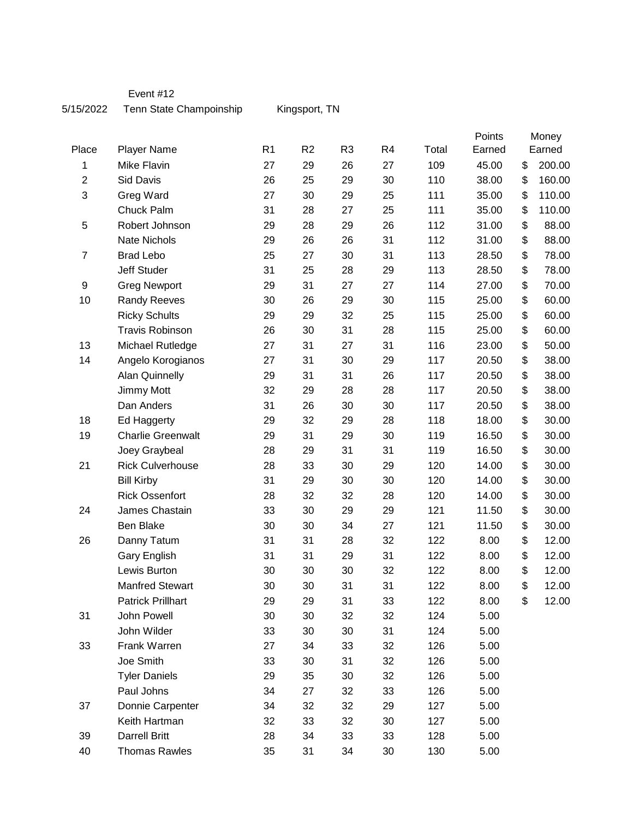Event #12

## 5/15/2022 Tenn State Champoinship Kingsport, TN

| Place          | <b>Player Name</b>       | R <sub>1</sub> | R <sub>2</sub> | R <sub>3</sub> | R <sub>4</sub> | Total | Points<br>Earned | Money<br>Earned |
|----------------|--------------------------|----------------|----------------|----------------|----------------|-------|------------------|-----------------|
| 1              | Mike Flavin              | 27             | 29             | 26             | 27             | 109   | 45.00            | \$<br>200.00    |
| $\overline{2}$ | Sid Davis                | 26             | 25             | 29             | 30             | 110   | 38.00            | \$<br>160.00    |
| $\mathsf 3$    | Greg Ward                | 27             | 30             | 29             | 25             | 111   | 35.00            | \$<br>110.00    |
|                | Chuck Palm               | 31             | 28             | 27             | 25             | 111   | 35.00            | \$<br>110.00    |
| 5              | Robert Johnson           | 29             | 28             | 29             | 26             | 112   | 31.00            | \$<br>88.00     |
|                | <b>Nate Nichols</b>      | 29             | 26             | 26             | 31             | 112   | 31.00            | \$<br>88.00     |
| $\overline{7}$ | <b>Brad Lebo</b>         | 25             | 27             | 30             | 31             | 113   | 28.50            | \$<br>78.00     |
|                | Jeff Studer              | 31             | 25             | 28             | 29             | 113   | 28.50            | \$<br>78.00     |
| 9              | <b>Greg Newport</b>      | 29             | 31             | 27             | 27             | 114   | 27.00            | \$<br>70.00     |
| 10             | <b>Randy Reeves</b>      | 30             | 26             | 29             | 30             | 115   | 25.00            | \$<br>60.00     |
|                | <b>Ricky Schults</b>     | 29             | 29             | 32             | 25             | 115   | 25.00            | \$<br>60.00     |
|                | <b>Travis Robinson</b>   | 26             | 30             | 31             | 28             | 115   | 25.00            | \$<br>60.00     |
| 13             | Michael Rutledge         | 27             | 31             | 27             | 31             | 116   | 23.00            | \$<br>50.00     |
| 14             | Angelo Korogianos        | 27             | 31             | 30             | 29             | 117   | 20.50            | \$<br>38.00     |
|                | <b>Alan Quinnelly</b>    | 29             | 31             | 31             | 26             | 117   | 20.50            | \$<br>38.00     |
|                | Jimmy Mott               | 32             | 29             | 28             | 28             | 117   | 20.50            | \$<br>38.00     |
|                | Dan Anders               | 31             | 26             | 30             | 30             | 117   | 20.50            | \$<br>38.00     |
| 18             | Ed Haggerty              | 29             | 32             | 29             | 28             | 118   | 18.00            | \$<br>30.00     |
| 19             | <b>Charlie Greenwalt</b> | 29             | 31             | 29             | 30             | 119   | 16.50            | \$<br>30.00     |
|                | Joey Graybeal            | 28             | 29             | 31             | 31             | 119   | 16.50            | \$<br>30.00     |
| 21             | <b>Rick Culverhouse</b>  | 28             | 33             | 30             | 29             | 120   | 14.00            | \$<br>30.00     |
|                | <b>Bill Kirby</b>        | 31             | 29             | 30             | 30             | 120   | 14.00            | \$<br>30.00     |
|                | <b>Rick Ossenfort</b>    | 28             | 32             | 32             | 28             | 120   | 14.00            | \$<br>30.00     |
| 24             | James Chastain           | 33             | 30             | 29             | 29             | 121   | 11.50            | \$<br>30.00     |
|                | Ben Blake                | 30             | 30             | 34             | 27             | 121   | 11.50            | \$<br>30.00     |
| 26             | Danny Tatum              | 31             | 31             | 28             | 32             | 122   | 8.00             | \$<br>12.00     |
|                | Gary English             | 31             | 31             | 29             | 31             | 122   | 8.00             | \$<br>12.00     |
|                | Lewis Burton             | 30             | 30             | 30             | 32             | 122   | 8.00             | \$<br>12.00     |
|                | <b>Manfred Stewart</b>   | 30             | 30             | 31             | 31             | 122   | 8.00             | \$<br>12.00     |
|                | <b>Patrick Prillhart</b> | 29             | 29             | 31             | 33             | 122   | 8.00             | \$<br>12.00     |
| 31             | John Powell              | 30             | 30             | 32             | 32             | 124   | 5.00             |                 |
|                | John Wilder              | 33             | 30             | 30             | 31             | 124   | 5.00             |                 |
| 33             | Frank Warren             | 27             | 34             | 33             | 32             | 126   | 5.00             |                 |
|                | Joe Smith                | 33             | 30             | 31             | 32             | 126   | 5.00             |                 |
|                | <b>Tyler Daniels</b>     | 29             | 35             | 30             | 32             | 126   | 5.00             |                 |
|                | Paul Johns               | 34             | 27             | 32             | 33             | 126   | 5.00             |                 |
| 37             | Donnie Carpenter         | 34             | 32             | 32             | 29             | 127   | 5.00             |                 |
|                | Keith Hartman            | 32             | 33             | 32             | 30             | 127   | 5.00             |                 |
| 39             | <b>Darrell Britt</b>     | 28             | 34             | 33             | 33             | 128   | 5.00             |                 |
| 40             | <b>Thomas Rawles</b>     | 35             | 31             | 34             | $30\,$         | 130   | 5.00             |                 |